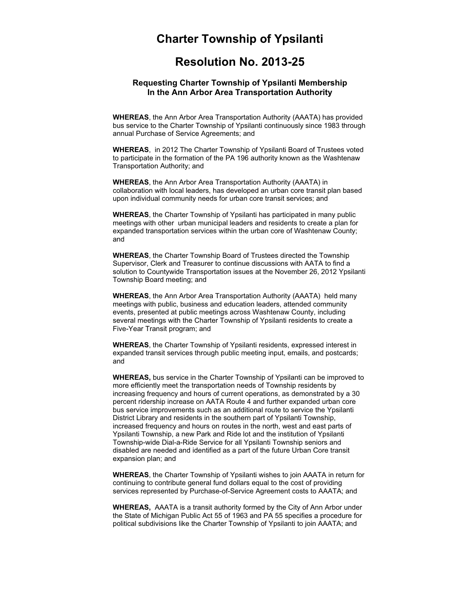## **Charter Township of Ypsilanti**

## Resolution No. 2013-25 **Resolution No. 2013-25**

## **Requesting Charter Township of Ypsilanti Membership In the Ann Arbor Area Transportation Authority**

**WHEREAS**, the Ann Arbor Area Transportation Authority (AAATA) has provided bus service to the Charter Township of Ypsilanti continuously since 1983 through annual Purchase of Service Agreements; and

**WHEREAS**, in 2012 The Charter Township of Ypsilanti Board of Trustees voted to participate in the formation of the PA 196 authority known as the Washtenaw Transportation Authority; and

**WHEREAS**, the Ann Arbor Area Transportation Authority (AAATA) in collaboration with local leaders, has developed an urban core transit plan based upon individual community needs for urban core transit services; and

**WHEREAS**, the Charter Township of Ypsilanti has participated in many public meetings with other urban municipal leaders and residents to create a plan for expanded transportation services within the urban core of Washtenaw County; and

**WHEREAS**, the Charter Township Board of Trustees directed the Township Supervisor, Clerk and Treasurer to continue discussions with AATA to find a solution to Countywide Transportation issues at the November 26, 2012 Ypsilanti Township Board meeting; and

**WHEREAS**, the Ann Arbor Area Transportation Authority (AAATA) held many meetings with public, business and education leaders, attended community events, presented at public meetings across Washtenaw County, including several meetings with the Charter Township of Ypsilanti residents to create a Five-Year Transit program; and

**WHEREAS**, the Charter Township of Ypsilanti residents, expressed interest in expanded transit services through public meeting input, emails, and postcards; and

**WHEREAS,** bus service in the Charter Township of Ypsilanti can be improved to more efficiently meet the transportation needs of Township residents by increasing frequency and hours of current operations, as demonstrated by a 30 percent ridership increase on AATA Route 4 and further expanded urban core bus service improvements such as an additional route to service the Ypsilanti District Library and residents in the southern part of Ypsilanti Township, increased frequency and hours on routes in the north, west and east parts of Ypsilanti Township, a new Park and Ride lot and the institution of Ypsilanti Township-wide Dial-a-Ride Service for all Ypsilanti Township seniors and disabled are needed and identified as a part of the future Urban Core transit expansion plan; and

**WHEREAS**, the Charter Township of Ypsilanti wishes to join AAATA in return for continuing to contribute general fund dollars equal to the cost of providing services represented by Purchase-of-Service Agreement costs to AAATA; and

**WHEREAS,** AAATA is a transit authority formed by the City of Ann Arbor under the State of Michigan Public Act 55 of 1963 and PA 55 specifies a procedure for political subdivisions like the Charter Township of Ypsilanti to join AAATA; and